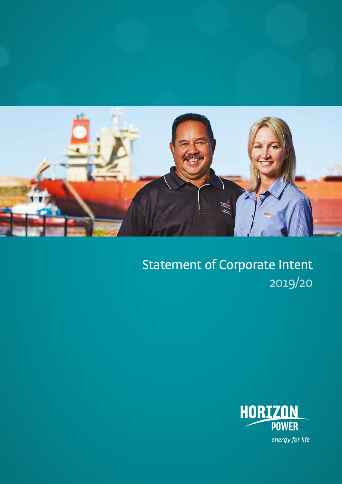

Statement of Corporate Intent 2019/20

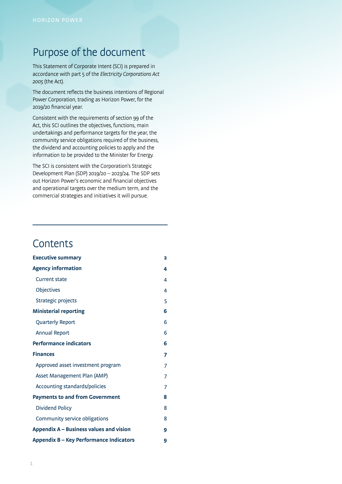### Purpose of the document

This Statement of Corporate Intent (SCI) is prepared in accordance with part 5 of the Electricity Corporations Act 2005 (the Act).

The document reflects the business intentions of Regional Power Corporation, trading as Horizon Power, for the 2019/20 financial year.

Consistent with the requirements of section 99 of the Act, this SCI outlines the objectives, functions, main undertakings and performance targets for the year, the community service obligations required of the business, the dividend and accounting policies to apply and the information to be provided to the Minister for Energy.

The SCI is consistent with the Corporation's Strategic Development Plan (SDP) 2019/20 – 2023/24. The SDP sets out Horizon Power's economic and financial objectives and operational targets over the medium term, and the commercial strategies and initiatives it will pursue.

### **Contents**

| <b>Executive summary</b>                | 2 |
|-----------------------------------------|---|
| <b>Agency information</b>               | 4 |
| <b>Current state</b>                    | 4 |
| Objectives                              | 4 |
| Strategic projects                      | 5 |
| <b>Ministerial reporting</b>            | 6 |
| Quarterly Report                        | 6 |
| <b>Annual Report</b>                    | 6 |
| <b>Performance indicators</b>           | 6 |
| <b>Finances</b>                         | 7 |
| Approved asset investment program       | 7 |
| Asset Management Plan (AMP)             | 7 |
| Accounting standards/policies           | 7 |
| <b>Payments to and from Government</b>  | 8 |
| <b>Dividend Policy</b>                  | 8 |
| Community service obligations           | 8 |
| Appendix A – Business values and vision | 9 |
| Appendix B - Key Performance Indicators | 9 |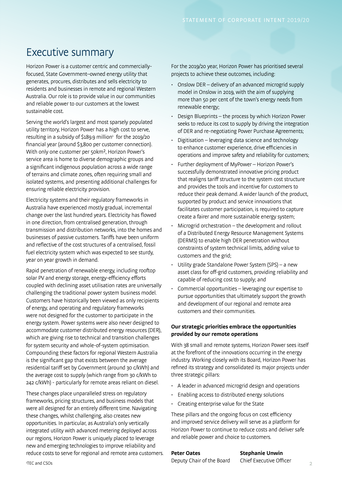## Executive summary

Horizon Power is a customer centric and commerciallyfocused, State Government–owned energy utility that generates, procures, distributes and sells electricity to residents and businesses in remote and regional Western Australia. Our role is to provide value in our communities and reliable power to our customers at the lowest sustainable cost.

Serving the world's largest and most sparsely populated utility territory, Horizon Power has a high cost to serve, resulting in a subsidy of \$189.9 million<sup>1</sup> for the 2019/20 financial year (around \$3,800 per customer connection). With only one customer per 50km<sup>2</sup>, Horizon Power's service area is home to diverse demographic groups and a significant indigenous population across a wide range of terrains and climate zones, often requiring small and isolated systems, and presenting additional challenges for ensuring reliable electricity provision.

Electricity systems and their regulatory frameworks in Australia have experienced mostly gradual, incremental change over the last hundred years. Electricity has flowed in one direction, from centralised generation, through transmission and distribution networks, into the homes and businesses of passive customers. Tariffs have been uniform and reflective of the cost structures of a centralised, fossil fuel electricity system which was expected to see sturdy, year on year growth in demand.

Rapid penetration of renewable energy, including rooftop solar PV and energy storage, energy-efficiency efforts coupled with declining asset utilisation rates are universally challenging the traditional power system business model. Customers have historically been viewed as only recipients of energy, and operating and regulatory frameworks were not designed for the customer to participate in the energy system. Power systems were also never designed to accommodate customer distributed energy resources (DER), which are giving rise to technical and transition challenges for system security and whole-of-system optimisation. Compounding these factors for regional Western Australia is the significant gap that exists between the average residential tariff set by Government (around 30 c/kWh) and the average cost to supply (which range from 30 c/kWh to 242 c/kWh) - particularly for remote areas reliant on diesel.

These changes place unparalleled stress on regulatory frameworks, pricing structures, and business models that were all designed for an entirely different time. Navigating these changes, whilst challenging, also creates new opportunities. In particular, as Australia's only vertically integrated utility with advanced metering deployed across our regions, Horizon Power is uniquely placed to leverage new and emerging technologies to improve reliability and reduce costs to serve for regional and remote area customers. For the 2019/20 year, Horizon Power has prioritised several projects to achieve these outcomes, including:

- Onslow DER delivery of an advanced microgrid supply model in Onslow in 2019, with the aim of supplying more than 50 per cent of the town's energy needs from renewable energy;
- Design Blueprints the process by which Horizon Power seeks to reduce its cost to supply by driving the integration of DER and re-negotiating Power Purchase Agreements;
- Digitisation leveraging data science and technology to enhance customer experience, drive efficiencies in operations and improve safety and reliability for customers;
- Further deployment of MyPower Horizon Power's successfully demonstrated innovative pricing product that realigns tariff structure to the system cost structure and provides the tools and incentive for customers to reduce their peak demand. A wider launch of the product, supported by product and service innovations that facilitates customer participation, is required to capture create a fairer and more sustainable energy system;
- Microgrid orchestration the development and rollout of a Distributed Energy Resource Management Systems (DERMS) to enable high DER penetration without constraints of system technical limits, adding value to customers and the grid;
- Utility grade Standalone Power System (SPS) a new asset class for off-grid customers, providing reliability and capable of reducing cost to supply; and
- Commercial opportunities leveraging our expertise to pursue opportunities that ultimately support the growth and development of our regional and remote area customers and their communities.

#### **Our strategic priorities embrace the opportunities provided by our remote operations**

With 38 small and remote systems, Horizon Power sees itself at the forefront of the innovations occurring in the energy industry. Working closely with its Board, Horizon Power has refined its strategy and consolidated its major projects under three strategic pillars:

- A leader in advanced microgrid design and operations
- Enabling access to distributed energy solutions
- Creating enterprise value for the State

These pillars and the ongoing focus on cost efficiency and improved service delivery will serve as a platform for Horizon Power to continue to reduce costs and deliver safe and reliable power and choice to customers.

**Peter Oates Stephanie Unwin**

TEC and CSOs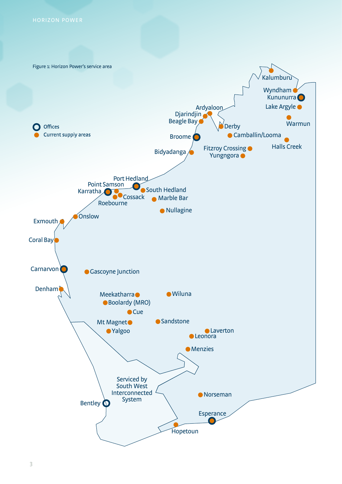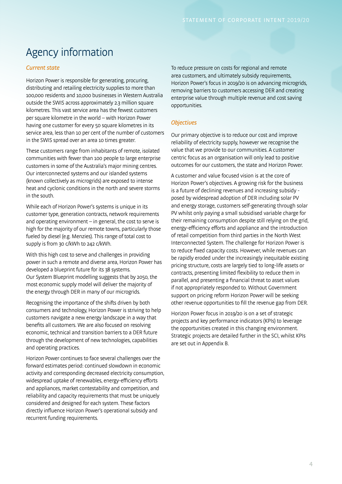# Agency information

#### Current state

Horizon Power is responsible for generating, procuring, distributing and retailing electricity supplies to more than 100,000 residents and 10,000 businesses in Western Australia outside the SWIS across approximately 2.3 million square kilometres. This vast service area has the fewest customers per square kilometre in the world – with Horizon Power having one customer for every 50 square kilometres in its service area, less than 10 per cent of the number of customers in the SWIS spread over an area 10 times greater.

These customers range from inhabitants of remote, isolated communities with fewer than 100 people to large enterprise customers in some of the Australia's major mining centres. Our interconnected systems and our islanded systems (known collectively as microgrids) are exposed to intense heat and cyclonic conditions in the north and severe storms in the south.

While each of Horizon Power's systems is unique in its customer type, generation contracts, network requirements and operating environment – in general, the cost to serve is high for the majority of our remote towns, particularly those fueled by diesel (e.g. Menzies). This range of total cost to supply is from 30 c/kWh to 242 c/kWh.

With this high cost to serve and challenges in providing power in such a remote and diverse area, Horizon Power has developed a blueprint future for its 38 systems. Our System Blueprint modelling suggests that by 2050, the most economic supply model will deliver the majority of the energy through DER in many of our microgrids.

Recognising the importance of the shifts driven by both consumers and technology, Horizon Power is striving to help customers navigate a new energy landscape in a way that benefits all customers. We are also focused on resolving economic, technical and transition barriers to a DER future through the development of new technologies, capabilities and operating practices.

Horizon Power continues to face several challenges over the forward estimates period: continued slowdown in economic activity and corresponding decreased electricity consumption, widespread uptake of renewables, energy-efficiency efforts and appliances, market contestability and competition, and reliability and capacity requirements that must be uniquely considered and designed for each system. These factors directly influence Horizon Power's operational subsidy and recurrent funding requirements.

To reduce pressure on costs for regional and remote area customers, and ultimately subsidy requirements, Horizon Power's focus in 2019/20 is on advancing microgrids, removing barriers to customers accessing DER and creating enterprise value through multiple revenue and cost saving opportunities.

### **Objectives**

Our primary objective is to reduce our cost and improve reliability of electricity supply, however we recognise the value that we provide to our communities. A customer centric focus as an organisation will only lead to positive outcomes for our customers, the state and Horizon Power.

A customer and value focused vision is at the core of Horizon Power's objectives. A growing risk for the business is a future of declining revenues and increasing subsidy posed by widespread adoption of DER including solar PV and energy storage, customers self-generating through solar PV whilst only paying a small subsidised variable charge for their remaining consumption despite still relying on the grid, energy-efficiency efforts and appliance and the introduction of retail competition from third parties in the North West Interconnected System. The challenge for Horizon Power is to reduce fixed capacity costs. However, while revenues can be rapidly eroded under the increasingly inequitable existing pricing structure, costs are largely tied to long-life assets or contracts, presenting limited flexibility to reduce them in parallel, and presenting a financial threat to asset values if not appropriately responded to. Without Government support on pricing reform Horizon Power will be seeking other revenue opportunities to fill the revenue gap from DER.

Horizon Power focus in 2019/20 is on a set of strategic projects and key performance indicators (KPIs) to leverage the opportunities created in this changing environment. Strategic projects are detailed further in the SCI, whilst KPIs are set out in Appendix B.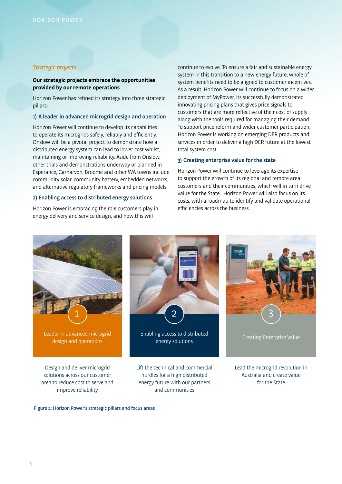#### Strategic projects

#### **Our strategic projects embrace the opportunities provided by our remote operations**

Horizon Power has refined its strategy into three strategic pillars:

#### 1) A leader in advanced microgrid design and operation

Horizon Power will continue to develop its capabilities to operate its microgrids safely, reliably and efficiently. Onslow will be a pivotal project to demonstrate how a distributed energy system can lead to lower cost whilst, maintaining or improving reliability. Aside from Onslow, other trials and demonstrations underway or planned in Esperance, Carnarvon, Broome and other WA towns include community solar, community battery, embedded networks, and alternative regulatory frameworks and pricing models.

#### 2) Enabling access to distributed energy solutions

Horizon Power is embracing the role customers play in energy delivery and service design, and how this will

continue to evolve. To ensure a fair and sustainable energy system in this transition to a new energy future, whole of system benefits need to be aligned to customer incentives. As a result, Horizon Power will continue to focus on a wider deployment of MyPower, its successfully demonstrated innovating pricing plans that gives price signals to customers that are more reflective of their cost of supply along with the tools required for managing their demand. To support price reform and wider customer participation, Horizon Power is working on emerging DER products and services in order to deliver a high DER future at the lowest total system cost.

#### 3) Creating enterprise value for the state

Horizon Power will continue to leverage its expertise to support the growth of its regional and remote area customers and their communities, which will in turn drive value for the State. Horizon Power will also focus on its costs, with a roadmap to identify and validate operational efficiencies across the business.



Figure 2: Horizon Power's strategic pillars and focus areas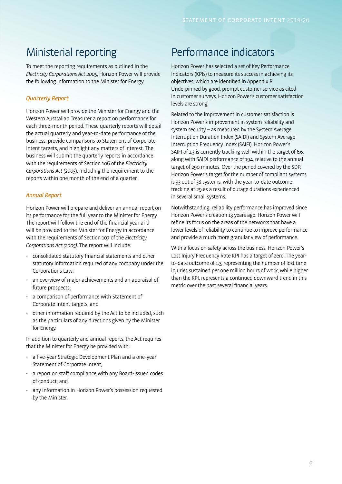## Ministerial reporting

To meet the reporting requirements as outlined in the Electricity Corporations Act 2005, Horizon Power will provide the following information to the Minister for Energy.

### Quarterly Report

Horizon Power will provide the Minister for Energy and the Western Australian Treasurer a report on performance for each three-month period. These quarterly reports will detail the actual quarterly and year-to-date performance of the business, provide comparisons to Statement of Corporate Intent targets, and highlight any matters of interest. The business will submit the quarterly reports in accordance with the requirements of Section 106 of the Electricity Corporations Act (2005), including the requirement to the reports within one month of the end of a quarter.

### Annual Report

Horizon Power will prepare and deliver an annual report on its performance for the full year to the Minister for Energy. The report will follow the end of the financial year and will be provided to the Minister for Energy in accordance with the requirements of Section 107 of the Electricity Corporations Act (2005). The report will include:

- consolidated statutory financial statements and other statutory information required of any company under the Corporations Law;
- an overview of major achievements and an appraisal of future prospects;
- a comparison of performance with Statement of Corporate Intent targets; and
- other information required by the Act to be included, such as the particulars of any directions given by the Minister for Energy.

In addition to quarterly and annual reports, the Act requires that the Minister for Energy be provided with:

- a five-year Strategic Development Plan and a one-year Statement of Corporate Intent;
- a report on staff compliance with any Board-issued codes of conduct; and
- any information in Horizon Power's possession requested by the Minister.

## Performance indicators

Horizon Power has selected a set of Key Performance Indicators (KPIs) to measure its success in achieving its objectives, which are identified in Appendix B. Underpinned by good, prompt customer service as cited in customer surveys, Horizon Power's customer satisfaction levels are strong.

Related to the improvement in customer satisfaction is Horizon Power's improvement in system reliability and system security – as measured by the System Average Interruption Duration Index (SAIDI) and System Average Interruption Frequency Index (SAIFI). Horizon Power's SAIFI of 1.3 is currently tracking well within the target of 6.6, along with SAIDI performance of 194, relative to the annual target of 290 minutes. Over the period covered by the SDP, Horizon Power's target for the number of compliant systems is 33 out of 38 systems, with the year-to-date outcome tracking at 29 as a result of outage durations experienced in several small systems.

Notwithstanding, reliability performance has improved since Horizon Power's creation 13 years ago. Horizon Power will refine its focus on the areas of the networks that have a lower levels of reliability to continue to improve performance and provide a much more granular view of performance.

With a focus on safety across the business, Horizon Power's Lost Injury Frequency Rate KPI has a target of zero. The yearto-date outcome of 1.3, representing the number of lost time injuries sustained per one million hours of work, while higher than the KPI, represents a continued downward trend in this metric over the past several financial years.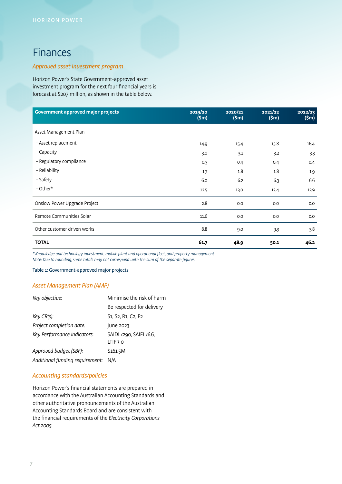## Finances

### Approved asset investment program

Horizon Power's State Government-approved asset investment program for the next four financial years is forecast at \$207 million, as shown in the table below.

| <b>Government approved major projects</b> | 2019/20<br>(Sm) | 2020/21<br>(Sm) | 2021/22<br>(Sm) | 2022/23<br>(Sm) |
|-------------------------------------------|-----------------|-----------------|-----------------|-----------------|
| Asset Management Plan                     |                 |                 |                 |                 |
| - Asset replacement                       | 14.9            | 15.4            | 15.8            | 16.4            |
| - Capacity                                | 3.0             | 3.1             | 3.2             | 3.3             |
| - Regulatory compliance                   | 0.3             | 0.4             | 0.4             | 0.4             |
| - Reliability                             | 1.7             | 1.8             | 1.8             | 1.9             |
| - Safety                                  | 6.0             | 6.2             | 6.3             | 6.6             |
| - Other*                                  | 12.5            | 13.0            | 13.4            | 13.9            |
| Onslow Power Upgrade Project              | 2.8             | 0.0             | 0.0             | 0.0             |
| Remote Communities Solar                  | 11.6            | 0.0             | 0.0             | 0.0             |
| Other customer driven works               | 8.8             | 9.0             | 9.3             | 3.8             |
| <b>TOTAL</b>                              | 61.7            | 48.9            | 50.1            | 46.2            |

\* Knowledge and technology investment, mobile plant and operational fleet, and property management Note: Due to rounding, some totals may not correspond with the sum of the separate figures.

Table 1: Government-approved major projects

### Asset Management Plan (AMP)

| Key objective:                  | Minimise the risk of harm                                                          |  |  |  |
|---------------------------------|------------------------------------------------------------------------------------|--|--|--|
|                                 | Be respected for delivery                                                          |  |  |  |
| Key CR(s):                      | S <sub>1</sub> , S <sub>2</sub> , R <sub>1</sub> , C <sub>2</sub> , F <sub>2</sub> |  |  |  |
| Project completion date:        | June 2023                                                                          |  |  |  |
| Key Performance Indicators:     | SAIDI <290, SAIFI <6.6,<br>LTIFR 0                                                 |  |  |  |
| Approved budget (SBF):          | \$161.5M                                                                           |  |  |  |
| Additional funding requirement: | N/A                                                                                |  |  |  |
|                                 |                                                                                    |  |  |  |

#### Accounting standards/policies

Horizon Power's financial statements are prepared in accordance with the Australian Accounting Standards and other authoritative pronouncements of the Australian Accounting Standards Board and are consistent with the financial requirements of the Electricity Corporations Act 2005.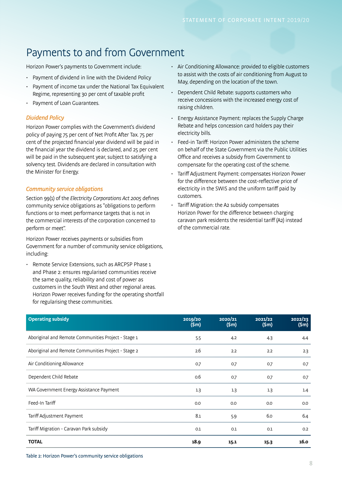# Payments to and from Government

Horizon Power's payments to Government include:

- Payment of dividend in line with the Dividend Policy
- Payment of income tax under the National Tax Equivalent Regime, representing 30 per cent of taxable profit
- Payment of Loan Guarantees.

### Dividend Policy

Horizon Power complies with the Government's dividend policy of paying 75 per cent of Net Profit After Tax. 75 per cent of the projected financial year dividend will be paid in the financial year the dividend is declared, and 25 per cent will be paid in the subsequent year, subject to satisfying a solvency test. Dividends are declared in consultation with the Minister for Energy.

### Community service obligations

Section 99(1) of the *Electricity Corporations Act 2005* defines community service obligations as "obligations to perform functions or to meet performance targets that is not in the commercial interests of the corporation concerned to perform or meet".

Horizon Power receives payments or subsidies from Government for a number of community service obligations, including:

• Remote Service Extensions, such as ARCPSP Phase 1 and Phase 2: ensures regularised communities receive the same quality, reliability and cost of power as customers in the South West and other regional areas. Horizon Power receives funding for the operating shortfall for regularising these communities.

- Air Conditioning Allowance: provided to eligible customers to assist with the costs of air conditioning from August to May, depending on the location of the town.
- Dependent Child Rebate: supports customers who receive concessions with the increased energy cost of raising children.
- Energy Assistance Payment: replaces the Supply Charge Rebate and helps concession card holders pay their electricity bills.
- Feed-in Tariff: Horizon Power administers the scheme on behalf of the State Government via the Public Utilities Office and receives a subsidy from Government to compensate for the operating cost of the scheme.
- Tariff Adjustment Payment: compensates Horizon Power for the difference between the cost-reflective price of electricity in the SWIS and the uniform tariff paid by customers.
- Tariff Migration: the A2 subsidy compensates Horizon Power for the difference between charging caravan park residents the residential tariff (A2) instead of the commercial rate.

| <b>Operating subsidy</b>                            | 2019/20<br>(Sm) | 2020/21<br>(Sm) | 2021/22<br>(Sm) | 2022/23<br>(Sm) |
|-----------------------------------------------------|-----------------|-----------------|-----------------|-----------------|
| Aboriginal and Remote Communities Project - Stage 1 | 5.5             | 4.2             | 4.3             | 4.4             |
| Aboriginal and Remote Communities Project - Stage 2 | 2.6             | 2.2             | 2.2             | 2.3             |
| Air Conditioning Allowance                          | 0.7             | 0.7             | 0.7             | 0.7             |
| Dependent Child Rebate                              | 0.6             | 0.7             | 0.7             | 0.7             |
| WA Government Energy Assistance Payment             | 1.3             | 1.3             | 1.3             | 1.4             |
| Feed-In Tariff                                      | 0.0             | 0.0             | 0.0             | 0.0             |
| Tariff Adjustment Payment                           | 8.1             | 5.9             | 6.0             | 6.4             |
| Tariff Migration - Caravan Park subsidy             | 0.1             | 0.1             | 0.1             | 0.2             |
| <b>TOTAL</b>                                        | 18.9            | 15.1            | 15.3            | 16.0            |

Table 2: Horizon Power's community service obligations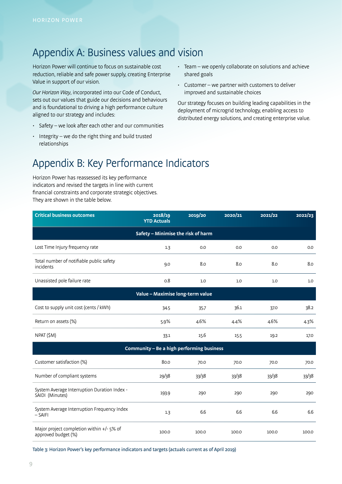## Appendix A: Business values and vision

Horizon Power will continue to focus on sustainable cost reduction, reliable and safe power supply, creating Enterprise Value in support of our vision.

Our Horizon Way, incorporated into our Code of Conduct, sets out our values that guide our decisions and behaviours and is foundational to driving a high performance culture aligned to our strategy and includes:

- Safety we look after each other and our communities
- Integrity we do the right thing and build trusted relationships
- Team we openly collaborate on solutions and achieve shared goals
- Customer we partner with customers to deliver improved and sustainable choices

Our strategy focuses on building leading capabilities in the deployment of microgrid technology, enabling access to distributed energy solutions, and creating enterprise value.

## Appendix B: Key Performance Indicators

Horizon Power has reassessed its key performance indicators and revised the targets in line with current financial constraints and corporate strategic objectives. They are shown in the table below.

| <b>Critical business outcomes</b>                                | 2018/19<br><b>YTD Actuals</b>             | 2019/20 | 2020/21 | 2021/22 | 2022/23 |  |
|------------------------------------------------------------------|-------------------------------------------|---------|---------|---------|---------|--|
| Safety - Minimise the risk of harm                               |                                           |         |         |         |         |  |
| Lost Time Injury frequency rate                                  | 1.3                                       | 0.0     | 0.0     | 0.0     | 0.0     |  |
| Total number of notifiable public safety<br>incidents            | 9.0                                       | 8.0     | 8.0     | 8.0     | 8.0     |  |
| Unassisted pole failure rate                                     | 0.8                                       | 1.0     | 1.0     | 1.0     | 1.0     |  |
| Value - Maximise long-term value                                 |                                           |         |         |         |         |  |
| Cost to supply unit cost (cents / kWh)                           | 34.5                                      | 35.7    | 36.1    | 37.0    | 38.2    |  |
| Return on assets (%)                                             | 5.9%                                      | 4.6%    | 4.4%    | 4.6%    | 4.3%    |  |
| NPAT (\$M)                                                       | 33.1                                      | 15.6    | 15.5    | 19.2    | 17.0    |  |
|                                                                  | Community - Be a high performing business |         |         |         |         |  |
| Customer satisfaction (%)                                        | 80.0                                      | 70.0    | 70.0    | 70.0    | 70.0    |  |
| Number of compliant systems                                      | 29/38                                     | 33/38   | 33/38   | 33/38   | 33/38   |  |
| System Average Interruption Duration Index -<br>SAIDI (Minutes)  | 193.9                                     | 290     | 290     | 290     | 290     |  |
| System Average Interruption Frequency Index<br>$-$ SAIFI         | 1.3                                       | 6.6     | 6.6     | 6.6     | 6.6     |  |
| Major project completion within +/- 5% of<br>approved budget (%) | 100.0                                     | 100.0   | 100.0   | 100.0   | 100.0   |  |

Table 3: Horizon Power's key performance indicators and targets (actuals current as of April 2019)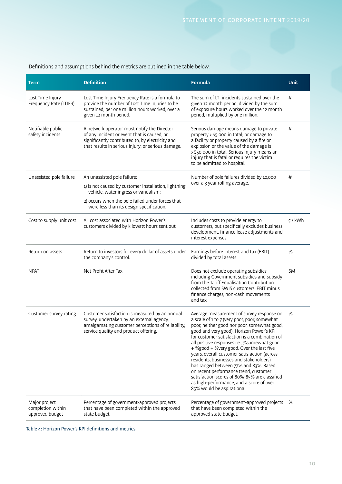### Definitions and assumptions behind the metrics are outlined in the table below.

| <b>Term</b>                                           | <b>Definition</b>                                                                                                                                                                                    | <b>Formula</b>                                                                                                                                                                                                                                                                                                                                                                                                                                                                                                                                                                                                                           | <b>Unit</b> |
|-------------------------------------------------------|------------------------------------------------------------------------------------------------------------------------------------------------------------------------------------------------------|------------------------------------------------------------------------------------------------------------------------------------------------------------------------------------------------------------------------------------------------------------------------------------------------------------------------------------------------------------------------------------------------------------------------------------------------------------------------------------------------------------------------------------------------------------------------------------------------------------------------------------------|-------------|
| Lost Time Injury<br>Frequency Rate (LTIFR)            | Lost Time Injury Frequency Rate is a formula to<br>provide the number of Lost Time Injuries to be<br>sustained, per one million hours worked, over a<br>given 12 month period.                       | The sum of LTI incidents sustained over the<br>given 12 month period, divided by the sum<br>of exposure hours worked over the 12 month<br>period, multiplied by one million.                                                                                                                                                                                                                                                                                                                                                                                                                                                             | #           |
| Notifiable public<br>safety incidents                 | A network operator must notify the Director<br>of any incident or event that is caused, or<br>significantly contributed to, by electricity and<br>that results in serious injury; or serious damage. | Serious damage means damage to private<br>property > \$5 000 in total; or damage to<br>a facility or property caused by a fire or<br>explosion or the value of the damage is<br>> \$50 000 in total. Serious injury means an<br>injury that is fatal or requires the victim<br>to be admitted to hospital.                                                                                                                                                                                                                                                                                                                               | #           |
| Unassisted pole failure                               | An unassisted pole failure:                                                                                                                                                                          | Number of pole failures divided by 10,000<br>over a 3 year rolling average.                                                                                                                                                                                                                                                                                                                                                                                                                                                                                                                                                              | #           |
|                                                       | 1) is not caused by customer installation, lightning,<br>vehicle, water ingress or vandalism;                                                                                                        |                                                                                                                                                                                                                                                                                                                                                                                                                                                                                                                                                                                                                                          |             |
|                                                       | 2) occurs when the pole failed under forces that<br>were less than its design specification.                                                                                                         |                                                                                                                                                                                                                                                                                                                                                                                                                                                                                                                                                                                                                                          |             |
| Cost to supply unit cost                              | All cost associated with Horizon Power's<br>customers divided by kilowatt hours sent out.                                                                                                            | Includes costs to provide energy to<br>customers, but specifically excludes business<br>development, finance lease adjustments and<br>interest expenses.                                                                                                                                                                                                                                                                                                                                                                                                                                                                                 | ¢/kWh       |
| Return on assets                                      | Return to investors for every dollar of assets under<br>the company's control.                                                                                                                       | Earnings before interest and tax (EBIT)<br>divided by total assets.                                                                                                                                                                                                                                                                                                                                                                                                                                                                                                                                                                      | %           |
| <b>NPAT</b>                                           | Net Profit After Tax                                                                                                                                                                                 | Does not exclude operating subsidies<br>including Government subsidies and subsidy<br>from the Tariff Equalisation Contribution<br>collected from SWIS customers. EBIT minus<br>finance charges, non-cash movements<br>and tax.                                                                                                                                                                                                                                                                                                                                                                                                          | \$M         |
| Customer survey rating                                | Customer satisfaction is measured by an annual<br>survey, undertaken by an external agency,<br>amalgamating customer perceptions of reliability,<br>service quality and product offering.            | Average measurement of survey response on<br>a scale of 1 to 7 (very poor, poor, somewhat<br>poor, neither good nor poor, somewhat good,<br>good and very good). Horizon Power's KPI<br>for customer satisfaction is a combination of<br>all positive responses i.e., %somewhat good<br>+ %good + %very good. Over the last five<br>years, overall customer satisfaction (across<br>residents, businesses and stakeholders)<br>has ranged between 77% and 83%. Based<br>on recent performance trend, customer<br>satisfaction scores of 80%-85% are classified<br>as high-performance, and a score of over<br>85% would be aspirational. | %           |
| Major project<br>completion within<br>approved budget | Percentage of government-approved projects<br>that have been completed within the approved<br>state budget.                                                                                          | Percentage of government-approved projects<br>that have been completed within the<br>approved state budget.                                                                                                                                                                                                                                                                                                                                                                                                                                                                                                                              | %           |

Table 4: Horizon Power's KPI definitions and metrics